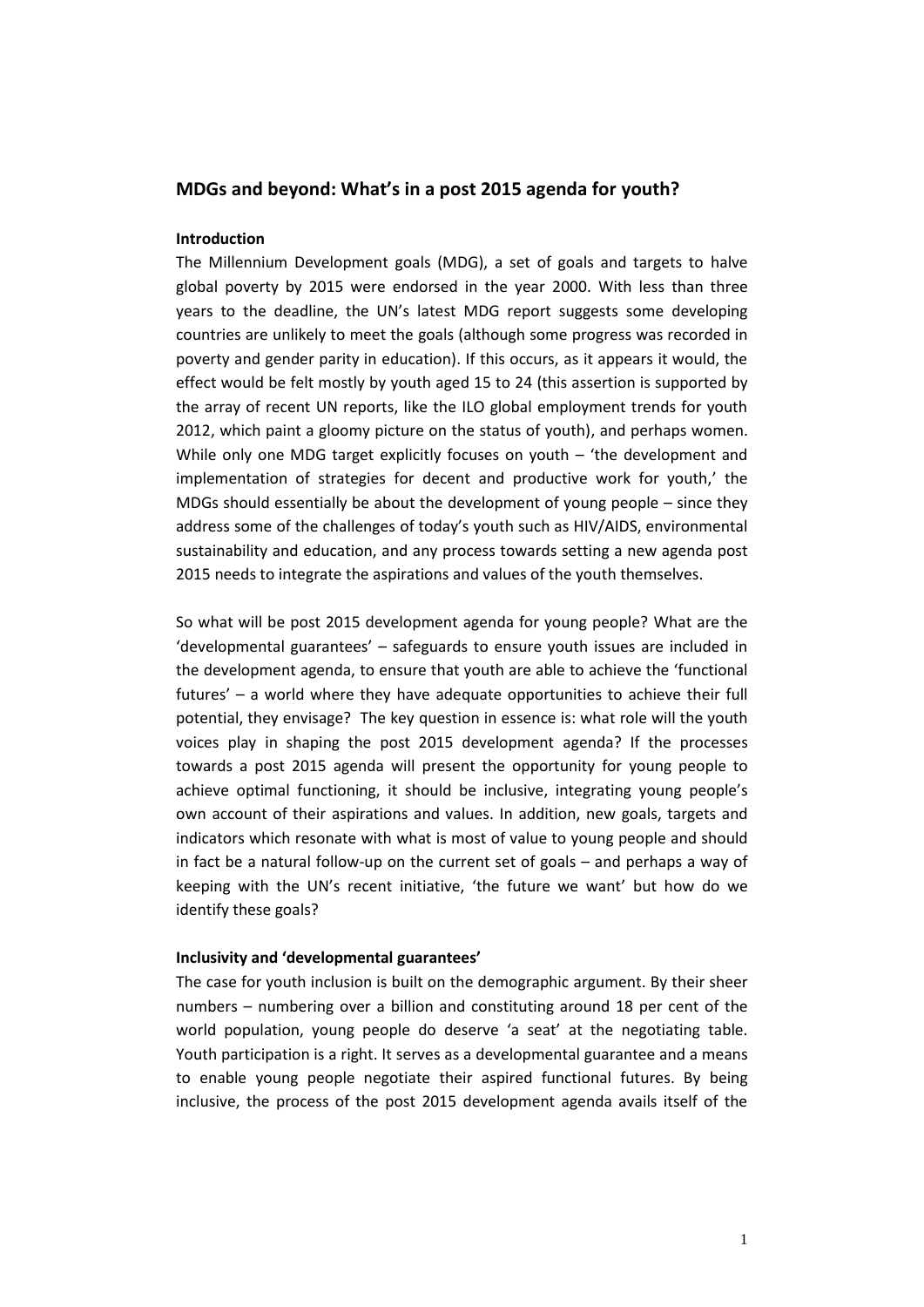# **MDGs and beyond: What's in a post 2015 agenda for youth?**

# **Introduction**

The Millennium Development goals (MDG), a set of goals and targets to halve global poverty by 2015 were endorsed in the year 2000. With less than three years to the deadline, the UN's latest MDG report suggests some developing countries are unlikely to meet the goals (although some progress was recorded in poverty and gender parity in education). If this occurs, as it appears it would, the effect would be felt mostly by youth aged 15 to 24 (this assertion is supported by the array of recent UN reports, like the ILO global employment trends for youth 2012, which paint a gloomy picture on the status of youth), and perhaps women. While only one MDG target explicitly focuses on youth – 'the development and implementation of strategies for decent and productive work for youth,' the MDGs should essentially be about the development of young people – since they address some of the challenges of today's youth such as HIV/AIDS, environmental sustainability and education, and any process towards setting a new agenda post 2015 needs to integrate the aspirations and values of the youth themselves.

So what will be post 2015 development agenda for young people? What are the 'developmental guarantees' – safeguards to ensure youth issues are included in the development agenda, to ensure that youth are able to achieve the 'functional futures' – a world where they have adequate opportunities to achieve their full potential, they envisage? The key question in essence is: what role will the youth voices play in shaping the post 2015 development agenda? If the processes towards a post 2015 agenda will present the opportunity for young people to achieve optimal functioning, it should be inclusive, integrating young people's own account of their aspirations and values. In addition, new goals, targets and indicators which resonate with what is most of value to young people and should in fact be a natural follow-up on the current set of goals – and perhaps a way of keeping with the UN's recent initiative, 'the future we want' but how do we identify these goals?

#### **Inclusivity and 'developmental guarantees'**

The case for youth inclusion is built on the demographic argument. By their sheer numbers – numbering over a billion and constituting around 18 per cent of the world population, young people do deserve 'a seat' at the negotiating table. Youth participation is a right. It serves as a developmental guarantee and a means to enable young people negotiate their aspired functional futures. By being inclusive, the process of the post 2015 development agenda avails itself of the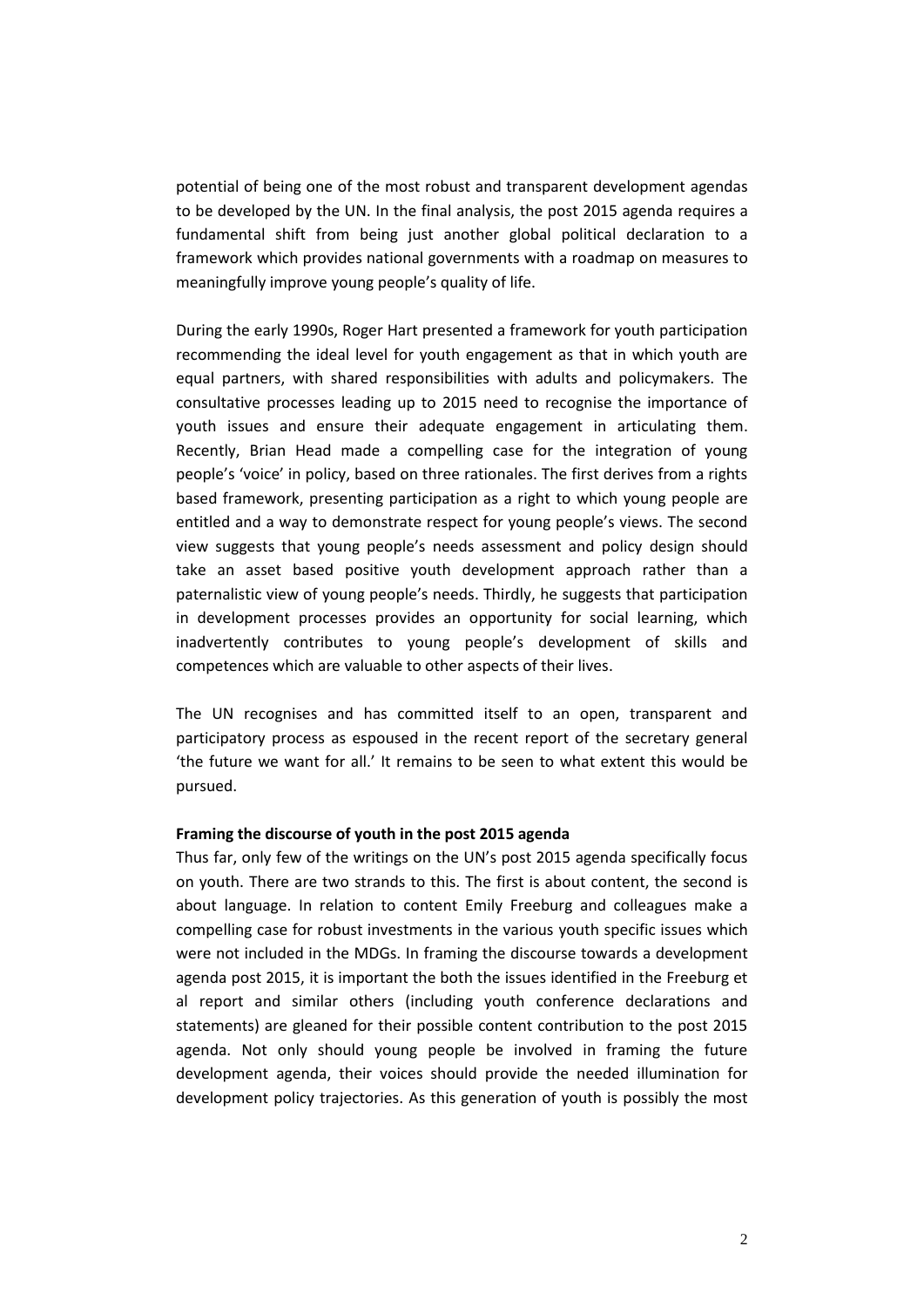potential of being one of the most robust and transparent development agendas to be developed by the UN. In the final analysis, the post 2015 agenda requires a fundamental shift from being just another global political declaration to a framework which provides national governments with a roadmap on measures to meaningfully improve young people's quality of life.

During the early 1990s, Roger Hart presented a framework for youth participation recommending the ideal level for youth engagement as that in which youth are equal partners, with shared responsibilities with adults and policymakers. The consultative processes leading up to 2015 need to recognise the importance of youth issues and ensure their adequate engagement in articulating them. Recently, Brian Head made a compelling case for the integration of young people's 'voice' in policy, based on three rationales. The first derives from a rights based framework, presenting participation as a right to which young people are entitled and a way to demonstrate respect for young people's views. The second view suggests that young people's needs assessment and policy design should take an asset based positive youth development approach rather than a paternalistic view of young people's needs. Thirdly, he suggests that participation in development processes provides an opportunity for social learning, which inadvertently contributes to young people's development of skills and competences which are valuable to other aspects of their lives.

The UN recognises and has committed itself to an open, transparent and participatory process as espoused in the recent report of the secretary general 'the future we want for all.' It remains to be seen to what extent this would be pursued.

### **Framing the discourse of youth in the post 2015 agenda**

Thus far, only few of the writings on the UN's post 2015 agenda specifically focus on youth. There are two strands to this. The first is about content, the second is about language. In relation to content Emily Freeburg and colleagues make a compelling case for robust investments in the various youth specific issues which were not included in the MDGs. In framing the discourse towards a development agenda post 2015, it is important the both the issues identified in the Freeburg et al report and similar others (including youth conference declarations and statements) are gleaned for their possible content contribution to the post 2015 agenda. Not only should young people be involved in framing the future development agenda, their voices should provide the needed illumination for development policy trajectories. As this generation of youth is possibly the most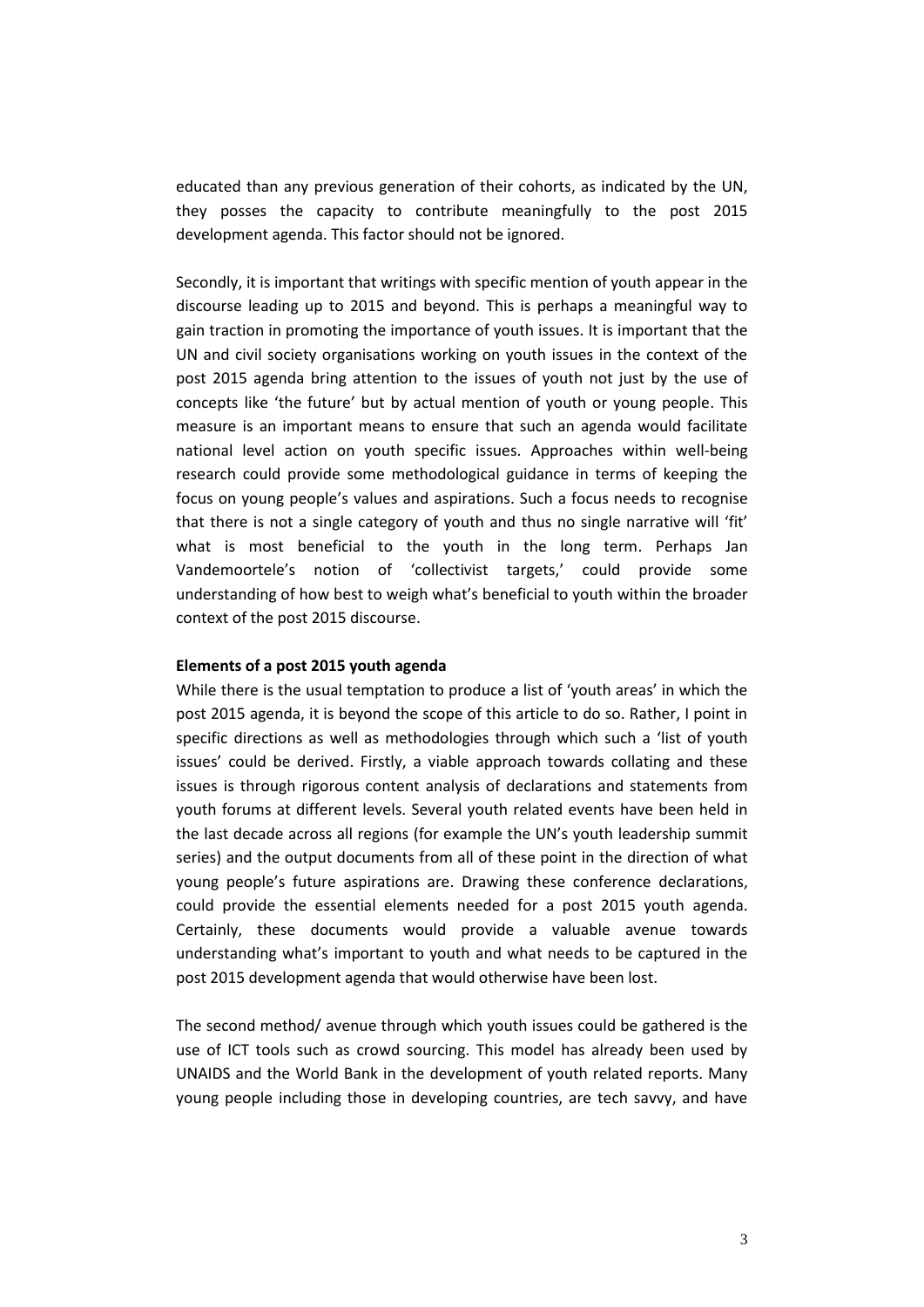educated than any previous generation of their cohorts, as indicated by the UN, they posses the capacity to contribute meaningfully to the post 2015 development agenda. This factor should not be ignored.

Secondly, it is important that writings with specific mention of youth appear in the discourse leading up to 2015 and beyond. This is perhaps a meaningful way to gain traction in promoting the importance of youth issues. It is important that the UN and civil society organisations working on youth issues in the context of the post 2015 agenda bring attention to the issues of youth not just by the use of concepts like 'the future' but by actual mention of youth or young people. This measure is an important means to ensure that such an agenda would facilitate national level action on youth specific issues. Approaches within well-being research could provide some methodological guidance in terms of keeping the focus on young people's values and aspirations. Such a focus needs to recognise that there is not a single category of youth and thus no single narrative will 'fit' what is most beneficial to the youth in the long term. Perhaps Jan Vandemoortele's notion of 'collectivist targets,' could provide some understanding of how best to weigh what's beneficial to youth within the broader context of the post 2015 discourse.

### **Elements of a post 2015 youth agenda**

While there is the usual temptation to produce a list of 'youth areas' in which the post 2015 agenda, it is beyond the scope of this article to do so. Rather, I point in specific directions as well as methodologies through which such a 'list of youth issues' could be derived. Firstly, a viable approach towards collating and these issues is through rigorous content analysis of declarations and statements from youth forums at different levels. Several youth related events have been held in the last decade across all regions (for example the UN's youth leadership summit series) and the output documents from all of these point in the direction of what young people's future aspirations are. Drawing these conference declarations, could provide the essential elements needed for a post 2015 youth agenda. Certainly, these documents would provide a valuable avenue towards understanding what's important to youth and what needs to be captured in the post 2015 development agenda that would otherwise have been lost.

The second method/ avenue through which youth issues could be gathered is the use of ICT tools such as crowd sourcing. This model has already been used by UNAIDS and the World Bank in the development of youth related reports. Many young people including those in developing countries, are tech savvy, and have